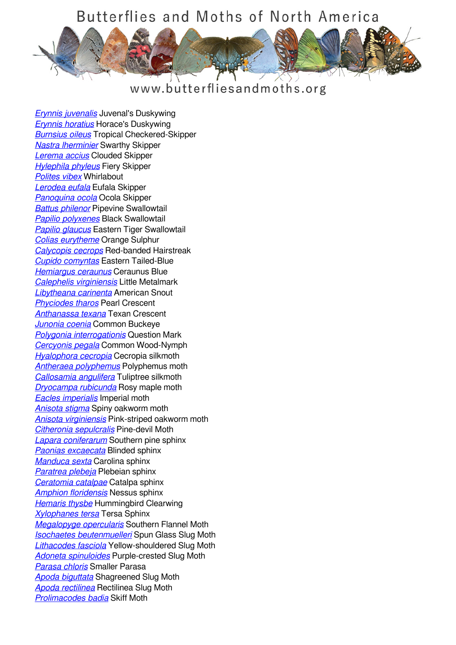## Butterflies and Moths of North America



www.butterfliesandmoths.org

*[Erynnis juvenalis](/species/Erynnis-juvenalis)* Juvenal's Duskywing *[Erynnis horatius](/species/Erynnis-horatius)* Horace's Duskywing *[Burnsius oileus](/species/Pyrgus-oileus)* Tropical Checkered-Skipper *[Nastra lherminier](/species/Nastra-lherminier)* Swarthy Skipper *[Lerema accius](/species/Lerema-accius)* Clouded Skipper *[Hylephila phyleus](/species/Hylephila-phyleus)* Fiery Skipper *[Polites vibex](/species/Polites-vibex)* Whirlabout *[Lerodea eufala](/species/Lerodea-eufala)* Eufala Skipper *[Panoquina ocola](/species/Panoquina-ocola)* Ocola Skipper *[Battus philenor](/species/Battus-philenor)* Pipevine Swallowtail *[Papilio polyxenes](/species/Papilio-polyxenes)* Black Swallowtail *[Papilio glaucus](/species/Papilio-glaucus)* Eastern Tiger Swallowtail *[Colias eurytheme](/species/Colias-eurytheme)* Orange Sulphur *[Calycopis cecrops](/species/Calycopis-cecrops)* Red-banded Hairstreak *[Cupido comyntas](/species/Cupido-comyntas)* Eastern Tailed-Blue *[Hemiargus ceraunus](/species/Hemiargus-ceraunus)* Ceraunus Blue *[Calephelis virginiensis](/species/Calephelis-virginiensis)* Little Metalmark *[Libytheana carinenta](/species/Libytheana-carinenta)* American Snout *[Phyciodes tharos](/species/Phyciodes-tharos)* Pearl Crescent *[Anthanassa texana](/species/Anthanassa-texana)* Texan Crescent *[Junonia coenia](/species/Junonia-coenia)* Common Buckeye *[Polygonia interrogationis](/species/Polygonia-interrogationis)* Question Mark *[Cercyonis pegala](/species/Cercyonis-pegala)* Common Wood-Nymph *[Hyalophora cecropia](/species/Hyalophora-cecropia)* Cecropia silkmoth *[Antheraea polyphemus](/species/Antheraea-polyphemus)* Polyphemus moth *[Callosamia angulifera](/species/Callosamia-angulifera)* Tuliptree silkmoth *[Dryocampa rubicunda](/species/Dryocampa-rubicunda)* Rosy maple moth *[Eacles imperialis](/species/Eacles-imperialis)* Imperial moth *[Anisota stigma](/species/Anisota-stigma)* Spiny oakworm moth *[Anisota virginiensis](/species/Anisota-virginiensis)* Pink-striped oakworm moth *[Citheronia sepulcralis](/species/Citheronia-sepulcralis)* Pine-devil Moth *[Lapara coniferarum](/species/Lapara-coniferarum)* Southern pine sphinx *[Paonias excaecata](/species/Paonias-excaecata)* Blinded sphinx *[Manduca sexta](/species/Manduca-sexta)* Carolina sphinx *[Paratrea plebeja](/species/Paratraea-plebeja)* Plebeian sphinx *[Ceratomia catalpae](/species/Ceratomia-catalpae)* Catalpa sphinx *[Amphion floridensis](/species/Amphion-floridensis)* Nessus sphinx *[Hemaris thysbe](/species/Hemaris-thysbe)* Hummingbird Clearwing *[Xylophanes tersa](/species/Xylophanes-tersa)* Tersa Sphinx *[Megalopyge opercularis](/species/Megalopyge-opercularis)* Southern Flannel Moth *[Isochaetes beutenmuelleri](/species/Isochaetes-beutenmuelleri)* Spun Glass Slug Moth *[Lithacodes fasciola](/species/Lithacodes-fasciola)* Yellow-shouldered Slug Moth *[Adoneta spinuloides](/species/Adoneta-spinuloides)* Purple-crested Slug Moth *[Parasa chloris](/species/Parasa-chloris)* Smaller Parasa *[Apoda biguttata](/species/Apoda-biguttata)* Shagreened Slug Moth *[Apoda rectilinea](/species/Apoda-rectilinea)* Rectilinea Slug Moth *[Prolimacodes badia](/species/Prolimacodes-badia)* Skiff Moth